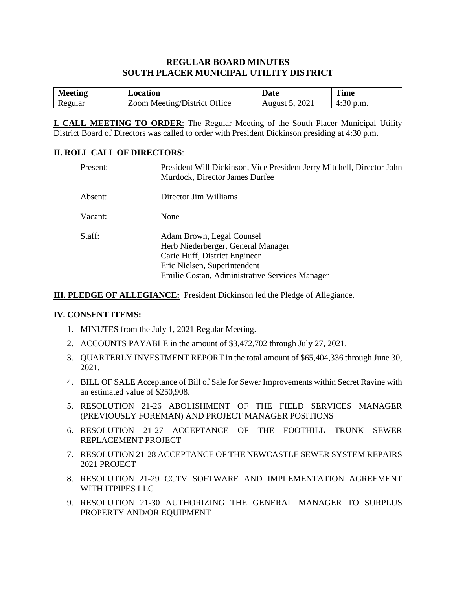# **REGULAR BOARD MINUTES SOUTH PLACER MUNICIPAL UTILITY DISTRICT**

| <b>Meeting</b> | Location                     | <b>Date</b>       | <b>Time</b> |
|----------------|------------------------------|-------------------|-------------|
| Regular        | Zoom Meeting/District Office | 2021<br>August 5, | 4:30 p.m.   |

**I. CALL MEETING TO ORDER**: The Regular Meeting of the South Placer Municipal Utility District Board of Directors was called to order with President Dickinson presiding at 4:30 p.m.

### **II. ROLL CALL OF DIRECTORS**:

| Present: | President Will Dickinson, Vice President Jerry Mitchell, Director John<br>Murdock, Director James Durfee                                                                           |
|----------|------------------------------------------------------------------------------------------------------------------------------------------------------------------------------------|
| Absent:  | Director Jim Williams                                                                                                                                                              |
| Vacant:  | None                                                                                                                                                                               |
| Staff:   | Adam Brown, Legal Counsel<br>Herb Niederberger, General Manager<br>Carie Huff, District Engineer<br>Eric Nielsen, Superintendent<br>Emilie Costan, Administrative Services Manager |

**III. PLEDGE OF ALLEGIANCE:** President Dickinson led the Pledge of Allegiance.

#### **IV. CONSENT ITEMS:**

- 1. MINUTES from the July 1, 2021 Regular Meeting.
- 2. ACCOUNTS PAYABLE in the amount of \$3,472,702 through July 27, 2021.
- 3. QUARTERLY INVESTMENT REPORT in the total amount of \$65,404,336 through June 30, 2021.
- 4. BILL OF SALE Acceptance of Bill of Sale for Sewer Improvements within Secret Ravine with an estimated value of \$250,908.
- 5. RESOLUTION 21-26 ABOLISHMENT OF THE FIELD SERVICES MANAGER (PREVIOUSLY FOREMAN) AND PROJECT MANAGER POSITIONS
- 6. RESOLUTION 21-27 ACCEPTANCE OF THE FOOTHILL TRUNK SEWER REPLACEMENT PROJECT
- 7. RESOLUTION 21-28 ACCEPTANCE OF THE NEWCASTLE SEWER SYSTEM REPAIRS 2021 PROJECT
- 8. RESOLUTION 21-29 CCTV SOFTWARE AND IMPLEMENTATION AGREEMENT WITH ITPIPES LLC
- 9. RESOLUTION 21-30 AUTHORIZING THE GENERAL MANAGER TO SURPLUS PROPERTY AND/OR EQUIPMENT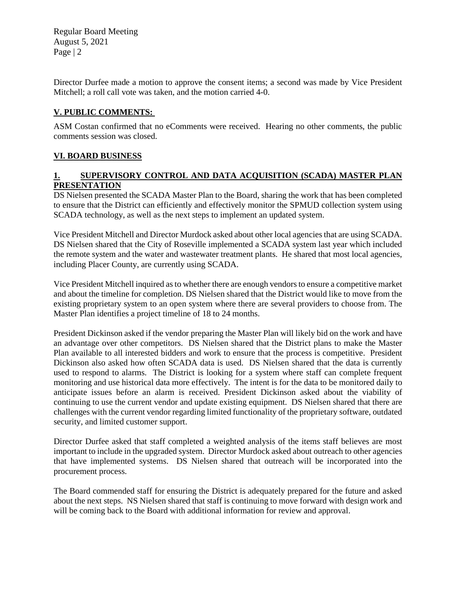Regular Board Meeting August 5, 2021 Page | 2

Director Durfee made a motion to approve the consent items; a second was made by Vice President Mitchell; a roll call vote was taken, and the motion carried 4-0.

# **V. PUBLIC COMMENTS:**

ASM Costan confirmed that no eComments were received. Hearing no other comments, the public comments session was closed.

# **VI. BOARD BUSINESS**

# **1. SUPERVISORY CONTROL AND DATA ACQUISITION (SCADA) MASTER PLAN PRESENTATION**

DS Nielsen presented the SCADA Master Plan to the Board, sharing the work that has been completed to ensure that the District can efficiently and effectively monitor the SPMUD collection system using SCADA technology, as well as the next steps to implement an updated system.

Vice President Mitchell and Director Murdock asked about other local agencies that are using SCADA. DS Nielsen shared that the City of Roseville implemented a SCADA system last year which included the remote system and the water and wastewater treatment plants. He shared that most local agencies, including Placer County, are currently using SCADA.

Vice President Mitchell inquired as to whether there are enough vendors to ensure a competitive market and about the timeline for completion. DS Nielsen shared that the District would like to move from the existing proprietary system to an open system where there are several providers to choose from. The Master Plan identifies a project timeline of 18 to 24 months.

President Dickinson asked if the vendor preparing the Master Plan will likely bid on the work and have an advantage over other competitors. DS Nielsen shared that the District plans to make the Master Plan available to all interested bidders and work to ensure that the process is competitive. President Dickinson also asked how often SCADA data is used. DS Nielsen shared that the data is currently used to respond to alarms. The District is looking for a system where staff can complete frequent monitoring and use historical data more effectively. The intent is for the data to be monitored daily to anticipate issues before an alarm is received. President Dickinson asked about the viability of continuing to use the current vendor and update existing equipment. DS Nielsen shared that there are challenges with the current vendor regarding limited functionality of the proprietary software, outdated security, and limited customer support.

Director Durfee asked that staff completed a weighted analysis of the items staff believes are most important to include in the upgraded system. Director Murdock asked about outreach to other agencies that have implemented systems. DS Nielsen shared that outreach will be incorporated into the procurement process.

The Board commended staff for ensuring the District is adequately prepared for the future and asked about the next steps. NS Nielsen shared that staff is continuing to move forward with design work and will be coming back to the Board with additional information for review and approval.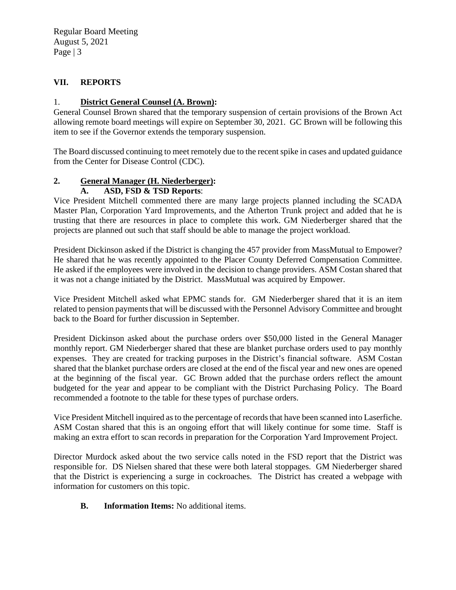Regular Board Meeting August 5, 2021 Page | 3

# **VII. REPORTS**

# 1. **District General Counsel (A. Brown):**

General Counsel Brown shared that the temporary suspension of certain provisions of the Brown Act allowing remote board meetings will expire on September 30, 2021. GC Brown will be following this item to see if the Governor extends the temporary suspension.

The Board discussed continuing to meet remotely due to the recent spike in cases and updated guidance from the Center for Disease Control (CDC).

# **2. General Manager (H. Niederberger):**

# **A. ASD, FSD & TSD Reports**:

Vice President Mitchell commented there are many large projects planned including the SCADA Master Plan, Corporation Yard Improvements, and the Atherton Trunk project and added that he is trusting that there are resources in place to complete this work. GM Niederberger shared that the projects are planned out such that staff should be able to manage the project workload.

President Dickinson asked if the District is changing the 457 provider from MassMutual to Empower? He shared that he was recently appointed to the Placer County Deferred Compensation Committee. He asked if the employees were involved in the decision to change providers. ASM Costan shared that it was not a change initiated by the District. MassMutual was acquired by Empower.

Vice President Mitchell asked what EPMC stands for. GM Niederberger shared that it is an item related to pension payments that will be discussed with the Personnel Advisory Committee and brought back to the Board for further discussion in September.

President Dickinson asked about the purchase orders over \$50,000 listed in the General Manager monthly report. GM Niederberger shared that these are blanket purchase orders used to pay monthly expenses. They are created for tracking purposes in the District's financial software. ASM Costan shared that the blanket purchase orders are closed at the end of the fiscal year and new ones are opened at the beginning of the fiscal year. GC Brown added that the purchase orders reflect the amount budgeted for the year and appear to be compliant with the District Purchasing Policy. The Board recommended a footnote to the table for these types of purchase orders.

Vice President Mitchell inquired as to the percentage of records that have been scanned into Laserfiche. ASM Costan shared that this is an ongoing effort that will likely continue for some time. Staff is making an extra effort to scan records in preparation for the Corporation Yard Improvement Project.

Director Murdock asked about the two service calls noted in the FSD report that the District was responsible for. DS Nielsen shared that these were both lateral stoppages. GM Niederberger shared that the District is experiencing a surge in cockroaches. The District has created a webpage with information for customers on this topic.

### **B. Information Items:** No additional items.